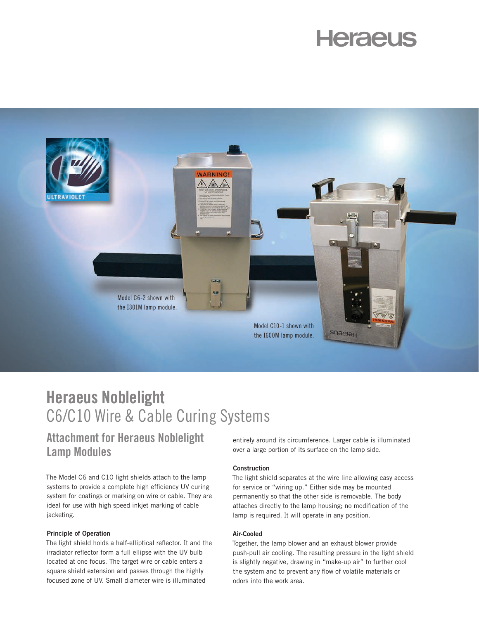# **Heraeus**



# Heraeus Noblelight C6/C10 Wire & Cable Curing Systems

## Attachment for Heraeus Noblelight Lamp Modules

The Model C6 and C10 light shields attach to the lamp systems to provide a complete high efficiency UV curing system for coatings or marking on wire or cable. They are ideal for use with high speed inkjet marking of cable jacketing.

#### Principle of Operation

The light shield holds a half-elliptical reflector. It and the irradiator reflector form a full ellipse with the UV bulb located at one focus. The target wire or cable enters a square shield extension and passes through the highly focused zone of UV. Small diameter wire is illuminated

entirely around its circumference. Larger cable is illuminated over a large portion of its surface on the lamp side.

#### Construction

The light shield separates at the wire line allowing easy access for service or "wiring up." Either side may be mounted permanently so that the other side is removable. The body attaches directly to the lamp housing; no modification of the lamp is required. It will operate in any position.

#### Air-Cooled

Together, the lamp blower and an exhaust blower provide push-pull air cooling. The resulting pressure in the light shield is slightly negative, drawing in "make-up air" to further cool the system and to prevent any flow of volatile materials or odors into the work area.